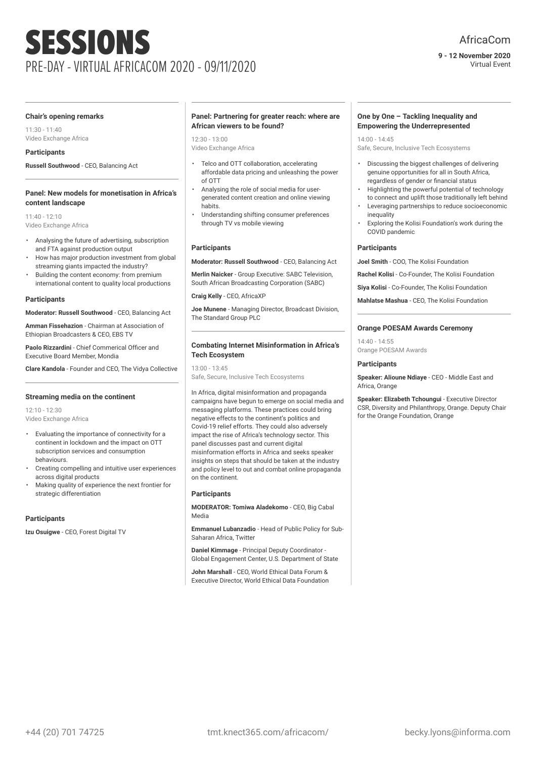**9 - 12 November 2020** Virtual Event

#### **Chair's opening remarks**

11:30 - 11:40 Video Exchange Africa

# **Participants**

**Russell Southwood** - CEO, Balancing Act

#### **Panel: New models for monetisation in Africa's content landscape**

 $11:40 - 12:10$ Video Exchange Africa

- Analysing the future of advertising, subscription and FTA against production output
- How has major production investment from global streaming giants impacted the industry?
- Building the content economy: from premium international content to quality local productions

#### **Participants**

**Moderator: Russell Southwood** - CEO, Balancing Act

**Amman Fissehazion** - Chairman at Association of Ethiopian Broadcasters & CEO, EBS TV

**Paolo Rizzardini** - Chief Commerical Officer and Executive Board Member, Mondia

**Clare Kandola** - Founder and CEO, The Vidya Collective

#### **Streaming media on the continent**

12:10 - 12:30 Video Exchange Africa

- Evaluating the importance of connectivity for a continent in lockdown and the impact on OTT subscription services and consumption behaviours.
- Creating compelling and intuitive user experiences across digital products
- Making quality of experience the next frontier for strategic differentiation

#### **Participants**

**Izu Osuigwe** - CEO, Forest Digital TV

#### **Panel: Partnering for greater reach: where are African viewers to be found?**

 $12.30 - 13.00$ Video Exchange Africa

- Telco and OTT collaboration, accelerating affordable data pricing and unleashing the power of OTT
- Analysing the role of social media for usergenerated content creation and online viewing habits.
- Understanding shifting consumer preferences through TV vs mobile viewing

#### **Participants**

**Moderator: Russell Southwood** - CEO, Balancing Act

**Merlin Naicker** - Group Executive: SABC Television, South African Broadcasting Corporation (SABC)

**Craig Kelly** - CEO, AfricaXP

**Joe Munene** - Managing Director, Broadcast Division, The Standard Group PLC

# **Combating Internet Misinformation in Africa's Tech Ecosystem**

13:00 - 13:45 Safe, Secure, Inclusive Tech Ecosystems

In Africa, digital misinformation and propaganda campaigns have begun to emerge on social media and messaging platforms. These practices could bring negative effects to the continent's politics and Covid-19 relief efforts. They could also adversely impact the rise of Africa's technology sector. This panel discusses past and current digital misinformation efforts in Africa and seeks speaker insights on steps that should be taken at the industry and policy level to out and combat online propaganda on the continent.

#### **Participants**

**MODERATOR: Tomiwa Aladekomo** - CEO, Big Cabal Media

**Emmanuel Lubanzadio** - Head of Public Policy for Sub-Saharan Africa, Twitter

**Daniel Kimmage** - Principal Deputy Coordinator - Global Engagement Center, U.S. Department of State

**John Marshall** - CEO, World Ethical Data Forum & Executive Director, World Ethical Data Foundation

# **One by One – Tackling Inequality and Empowering the Underrepresented**

14:00 - 14:45

Safe, Secure, Inclusive Tech Ecosystems

- Discussing the biggest challenges of delivering genuine opportunities for all in South Africa, regardless of gender or financial status
- Highlighting the powerful potential of technology to connect and uplift those traditionally left behind
- Leveraging partnerships to reduce socioeconomic inequality
- Exploring the Kolisi Foundation's work during the COVID pandemic

# **Participants**

**Joel Smith** - COO, The Kolisi Foundation

**Rachel Kolisi** - Co-Founder, The Kolisi Foundation

**Siya Kolisi** - Co-Founder, The Kolisi Foundation

**Mahlatse Mashua** - CEO, The Kolisi Foundation

# **Orange POESAM Awards Ceremony**

14:40 - 14:55 Orange POESAM Awards

#### **Participants**

**Speaker: Alioune Ndiaye** - CEO - Middle East and Africa, Orange

**Speaker: Elizabeth Tchoungui** - Executive Director CSR, Diversity and Philanthropy, Orange. Deputy Chair for the Orange Foundation, Orange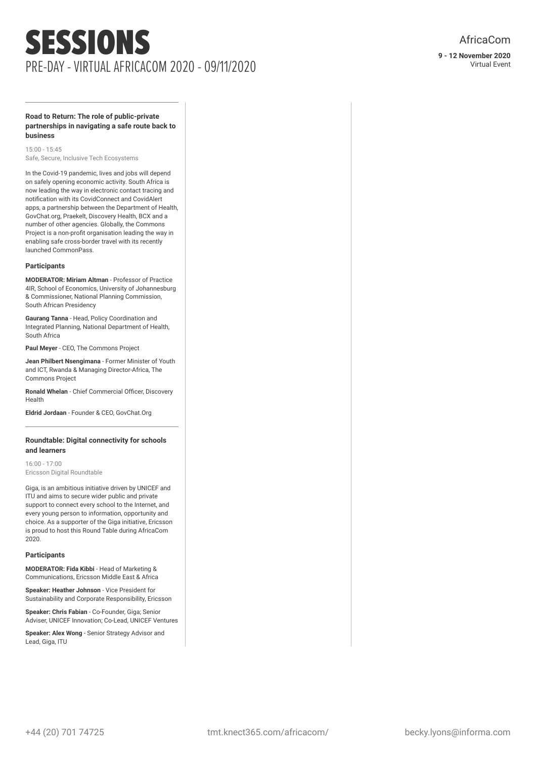#### **Road to Return: The role of public-private partnerships in navigating a safe route back to business**

15:00 - 15:45 Safe, Secure, Inclusive Tech Ecosystems

In the Covid-19 pandemic, lives and jobs will depend on safely opening economic activity. South Africa is now leading the way in electronic contact tracing and notification with its CovidConnect and CovidAlert apps, a partnership between the Department of Health, GovChat.org, Praekelt, Discovery Health, BCX and a number of other agencies. Globally, the Commons Project is a non-profit organisation leading the way in enabling safe cross-border travel with its recently launched CommonPass.

#### **Participants**

**MODERATOR: Miriam Altman** - Professor of Practice 4IR, School of Economics, University of Johannesburg & Commissioner, National Planning Commission, South African Presidency

**Gaurang Tanna** - Head, Policy Coordination and Integrated Planning, National Department of Health, South Africa

**Paul Meyer** - CEO, The Commons Project

**Jean Philbert Nsengimana** - Former Minister of Youth and ICT, Rwanda & Managing Director-Africa, The Commons Project

**Ronald Whelan** - Chief Commercial Officer, Discovery Health

**Eldrid Jordaan** - Founder & CEO, GovChat.Org

# **Roundtable: Digital connectivity for schools and learners**

16:00 - 17:00 Ericsson Digital Roundtable

Giga, is an ambitious initiative driven by UNICEF and ITU and aims to secure wider public and private support to connect every school to the Internet, and every young person to information, opportunity and choice. As a supporter of the Giga initiative, Ericsson is proud to host this Round Table during AfricaCom 2020.

# **Participants**

**MODERATOR: Fida Kibbi** - Head of Marketing & Communications, Ericsson Middle East & Africa

**Speaker: Heather Johnson** - Vice President for Sustainability and Corporate Responsibility, Ericsson

**Speaker: Chris Fabian** - Co-Founder, Giga; Senior Adviser, UNICEF Innovation; Co-Lead, UNICEF Ventures

**Speaker: Alex Wong** - Senior Strategy Advisor and Lead, Giga, ITU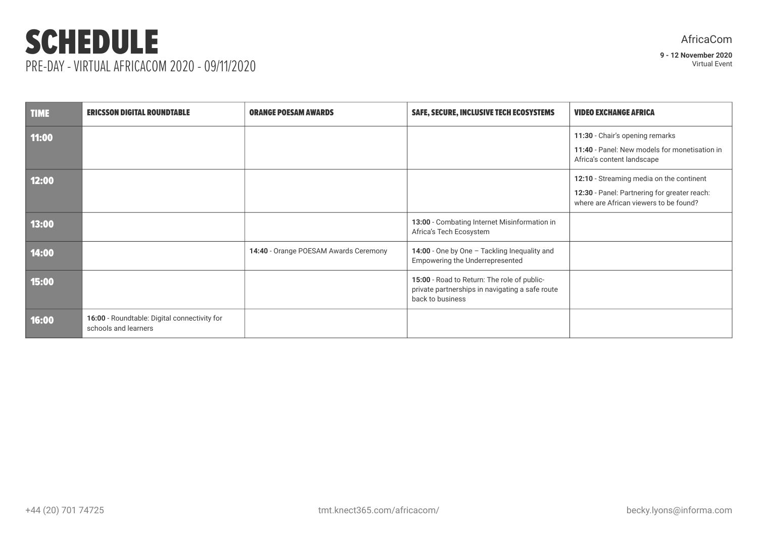# SCHEDULE PRE-DAY - VIRTUAL AFRICACOM 2020 - 09/11/2020

| <b>TIME</b> | <b>ERICSSON DIGITAL ROUNDTABLE</b>                                   | <b>ORANGE POESAM AWARDS</b>           | SAFE, SECURE, INCLUSIVE TECH ECOSYSTEMS                                                                            | <b>VIDEO EXCHANGE AFRICA</b>                                                                                                       |
|-------------|----------------------------------------------------------------------|---------------------------------------|--------------------------------------------------------------------------------------------------------------------|------------------------------------------------------------------------------------------------------------------------------------|
| 11:00       |                                                                      |                                       |                                                                                                                    | 11:30 - Chair's opening remarks<br>11:40 - Panel: New models for monetisation in<br>Africa's content landscape                     |
| 12:00       |                                                                      |                                       |                                                                                                                    | 12:10 - Streaming media on the continent<br>12:30 - Panel: Partnering for greater reach:<br>where are African viewers to be found? |
| 13:00       |                                                                      |                                       | 13:00 - Combating Internet Misinformation in<br>Africa's Tech Ecosystem                                            |                                                                                                                                    |
| 14:00       |                                                                      | 14:40 - Orange POESAM Awards Ceremony | 14:00 - One by One - Tackling Inequality and<br>Empowering the Underrepresented                                    |                                                                                                                                    |
| 15:00       |                                                                      |                                       | 15:00 - Road to Return: The role of public-<br>private partnerships in navigating a safe route<br>back to business |                                                                                                                                    |
| 16:00       | 16:00 - Roundtable: Digital connectivity for<br>schools and learners |                                       |                                                                                                                    |                                                                                                                                    |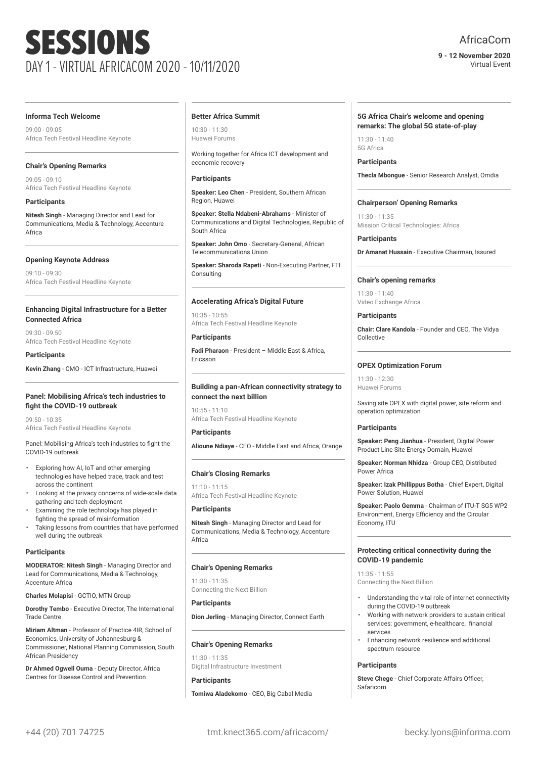# AfricaCom

**9 - 12 November 2020** Virtual Event

#### **Informa Tech Welcome**

09:00 - 09:05 Africa Tech Festival Headline Keynote

# **Chair's Opening Remarks**

09:05 - 09:10 Africa Tech Festival Headline Keynote

# **Participants**

**Nitesh Singh** - Managing Director and Lead for Communications, Media & Technology, Accenture Africa

# **Opening Keynote Address**

09:10 - 09:30 Africa Tech Festival Headline Keynote

# **Enhancing Digital Infrastructure for a Better Connected Africa**

09:30 - 09:50 Africa Tech Festival Headline Keynote

# **Participants**

**Kevin Zhang** - CMO - ICT Infrastructure, Huawei

#### **Panel: Mobilising Africa's tech industries to fight the COVID-19 outbreak**

09:50 - 10:35 Africa Tech Festival Headline Keynote

Panel: Mobilising Africa's tech industries to fight the COVID-19 outbreak

- Exploring how AI, IoT and other emerging technologies have helped trace, track and test across the continent
- Looking at the privacy concerns of wide-scale data gathering and tech deployment
- Examining the role technology has played in fighting the spread of misinformation
- Taking lessons from countries that have performed well during the outbreak

# **Participants**

**MODERATOR: Nitesh Singh** - Managing Director and Lead for Communications, Media & Technology, Accenture Africa

**Charles Molapisi** - GCTIO, MTN Group

**Dorothy Tembo** - Executive Director, The International Trade Centre

**Miriam Altman** - Professor of Practice 4IR, School of Economics, University of Johannesburg & Commissioner, National Planning Commission, South African Presidency

**Dr Ahmed Ogwell Ouma** - Deputy Director, Africa Centres for Disease Control and Prevention

#### **Better Africa Summit**

10:30 - 11:30 Huawei Forums

Working together for Africa ICT development and economic recovery

# **Participants**

**Speaker: Leo Chen** - President, Southern African Region, Huawei

**Speaker: Stella Ndabeni-Abrahams** - Minister of Communications and Digital Technologies, Republic of South Africa

**Speaker: John Omo** - Secretary-General, African Telecommunications Union

**Speaker: Sharoda Rapeti** - Non-Executing Partner, FTI **Consulting** 

# **Accelerating Africa's Digital Future**

10:35 - 10:55 Africa Tech Festival Headline Keynote

# **Participants**

**Fadi Pharaon** - President – Middle East & Africa, Ericsson

# **Building a pan-African connectivity strategy to connect the next billion**

 $10:55 - 11:10$ Africa Tech Festival Headline Keynote

**Participants**

**Alioune Ndiaye** - CEO - Middle East and Africa, Orange

# **Chair's Closing Remarks**

11:10 - 11:15 Africa Tech Festival Headline Keynote

**Participants**

**Nitesh Singh** - Managing Director and Lead for Communications, Media & Technology, Accenture Africa

# **Chair's Opening Remarks**

11:30 - 11:35 Connecting the Next Billion

# **Participants**

**Participants**

**Dion Jerling** - Managing Director, Connect Earth

# **Chair's Opening Remarks**

11:30 - 11:35 Digital Infrastructure Investment

**Tomiwa Aladekomo** - CEO, Big Cabal Media

# **5G Africa Chair's welcome and opening remarks: The global 5G state-of-play**

 $11:30 - 11:40$ 5G Africa

**Participants Thecla Mbongue** - Senior Research Analyst, Omdia

# **Chairperson' Opening Remarks**

 $11.20 - 11.25$ Mission Critical Technologies: Africa

**Participants Dr Amanat Hussain** - Executive Chairman, Issured

# **Chair's opening remarks**

 $11:30 - 11:40$ Video Exchange Africa

# **Participants**

**Chair: Clare Kandola** - Founder and CEO, The Vidya Collective

# **OPEX Optimization Forum**

11:30 - 12:30 Huawei Forums

Saving site OPEX with digital power, site reform and operation optimization

# **Participants**

**Speaker: Peng Jianhua** - President, Digital Power Product Line Site Energy Domain, Huawei

**Speaker: Norman Nhidza** - Group CEO, Distributed Power Africa

**Speaker: Izak Phillippus Botha** - Chief Expert, Digital Power Solution, Huawei

**Speaker: Paolo Gemma** - Chairman of ITU-T SG5 WP2 Environment, Energy Efficiency and the Circular Economy, ITU

# **Protecting critical connectivity during the COVID-19 pandemic**

11:35 - 11:55 Connecting the Next Billion

- Understanding the vital role of internet connectivity during the COVID-19 outbreak
- Working with network providers to sustain critical services: government, e-healthcare, financial services
- Enhancing network resilience and additional spectrum resource

# **Participants**

**Steve Chege** - Chief Corporate Affairs Officer, Safaricom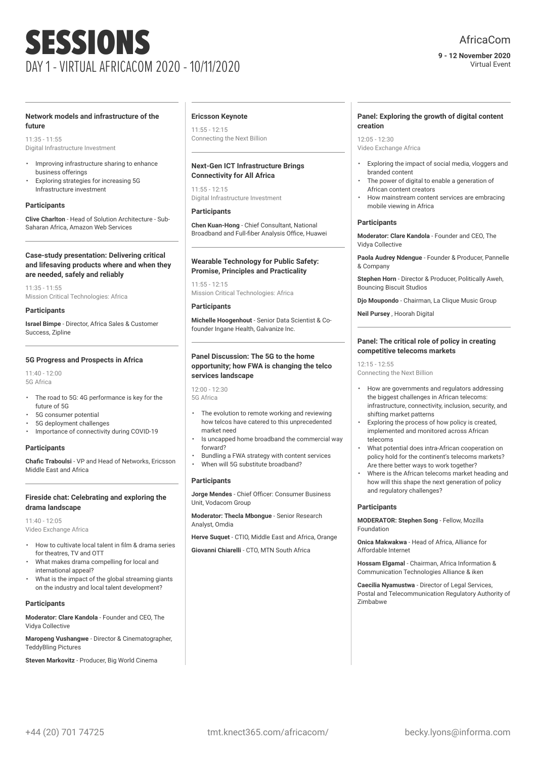# AfricaCom

#### **9 - 12 November 2020** Virtual Event

#### **Network models and infrastructure of the future**

 $11:35 - 11:55$ Digital Infrastructure Investment

- Improving infrastructure sharing to enhance business offerings
- Exploring strategies for increasing 5G Infrastructure investment

# **Participants**

**Clive Charlton** - Head of Solution Architecture - Sub-Saharan Africa, Amazon Web Services

#### **Case-study presentation: Delivering critical and lifesaving products where and when they are needed, safely and reliably**

11:35 - 11:55 Mission Critical Technologies: Africa

**Participants**

**Israel Bimpe** - Director, Africa Sales & Customer Success, Zipline

#### **5G Progress and Prospects in Africa**

11:40 - 12:00 5G Africa

- The road to 5G: 4G performance is key for the future of 5G
- 5G consumer potential
- 5G deployment challenges
- Importance of connectivity during COVID-19

# **Participants**

**Chafic Traboulsi** - VP and Head of Networks, Ericsson Middle East and Africa

# **Fireside chat: Celebrating and exploring the drama landscape**

11:40 - 12:05 Video Exchange Africa

- How to cultivate local talent in film & drama series for theatres, TV and OTT
- What makes drama compelling for local and international appeal?
- What is the impact of the global streaming giants on the industry and local talent development?

# **Participants**

**Moderator: Clare Kandola** - Founder and CEO, The Vidya Collective

**Maropeng Vushangwe** - Director & Cinematographer, TeddyBling Pictures

**Steven Markovitz** - Producer, Big World Cinema

#### **Ericsson Keynote**

11:55 - 12:15 Connecting the Next Billion

# **Next-Gen ICT Infrastructure Brings Connectivity for All Africa**

11:55 - 12:15 Digital Infrastructure Investment

#### **Participants**

**Chen Kuan-Hong** - Chief Consultant, National Broadband and Full-fiber Analysis Office, Huawei

#### **Wearable Technology for Public Safety: Promise, Principles and Practicality**

 $11:55 - 12:15$ Mission Critical Technologies: Africa

#### **Participants**

**Michelle Hoogenhout** - Senior Data Scientist & Cofounder Ingane Health, Galvanize Inc.

# **Panel Discussion: The 5G to the home opportunity; how FWA is changing the telco services landscape**

12:00 - 12:30 5G Africa

- The evolution to remote working and reviewing how telcos have catered to this unprecedented market need
- Is uncapped home broadband the commercial way forward?
- Bundling a FWA strategy with content services
- When will 5G substitute broadband?

# **Participants**

**Jorge Mendes** - Chief Officer: Consumer Business Unit, Vodacom Group

**Moderator: Thecla Mbongue** - Senior Research Analyst, Omdia

**Herve Suquet** - CTIO, Middle East and Africa, Orange

**Giovanni Chiarelli** - CTO, MTN South Africa

#### **Panel: Exploring the growth of digital content creation**

 $12:05 - 12:30$ Video Exchange Africa

- Exploring the impact of social media, vloggers and branded content
- The power of digital to enable a generation of African content creators
- How mainstream content services are embracing mobile viewing in Africa

# **Participants**

**Moderator: Clare Kandola** - Founder and CEO, The Vidya Collective

**Paola Audrey Ndengue** - Founder & Producer, Pannelle & Company

**Stephen Horn** - Director & Producer, Politically Aweh, Bouncing Biscuit Studios

**Djo Moupondo** - Chairman, La Clique Music Group

**Neil Pursey** , Hoorah Digital

# **Panel: The critical role of policy in creating competitive telecoms markets**

 $12.15 - 12.55$ Connecting the Next Billion

- How are governments and regulators addressing the biggest challenges in African telecoms: infrastructure, connectivity, inclusion, security, and shifting market patterns
- Exploring the process of how policy is created, implemented and monitored across African telecoms
- What potential does intra-African cooperation on policy hold for the continent's telecoms markets? Are there better ways to work together?
- Where is the African telecoms market heading and how will this shape the next generation of policy and regulatory challenges?

#### **Participants**

**MODERATOR: Stephen Song** - Fellow, Mozilla Foundation

**Onica Makwakwa** - Head of Africa, Alliance for Affordable Internet

**Hossam Elgamal** - Chairman, Africa Information & Communication Technologies Alliance & iken

**Caecilia Nyamustwa** - Director of Legal Services, Postal and Telecommunication Regulatory Authority of Zimbabwe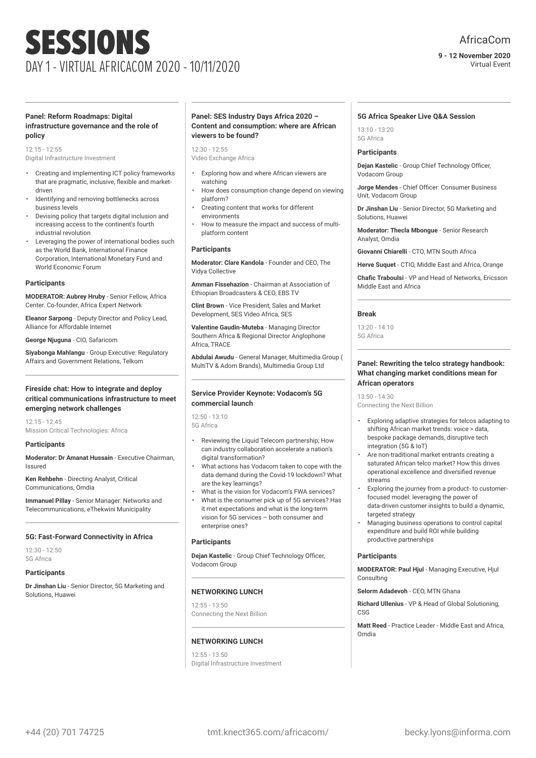# AfricaCom

#### **9 - 12 November 2020** Virtual Event

#### **Panel: Reform Roadmaps: Digital infrastructure governance and the role of policy**

12:15 - 12:55 Digital Infrastructure Investment

- Creating and implementing ICT policy frameworks that are pragmatic, inclusive, flexible and marketdriven
- Identifying and removing bottlenecks across business levels
- Devising policy that targets digital inclusion and increasing access to the continent's fourth industrial revolution
- Leveraging the power of international bodies such as the World Bank, International Finance Corporation, International Monetary Fund and World Economic Forum

#### **Participants**

**MODERATOR: Aubrey Hruby** - Senior Fellow, Africa Center. Co-founder, Africa Expert Network

**Eleanor Sarpong** - Deputy Director and Policy Lead, Alliance for Affordable Internet

**George Njuguna** - CIO, Safaricom

**Siyabonga Mahlangu** - Group Executive: Regulatory Affairs and Government Relations, Telkom

# **Fireside chat: How to integrate and deploy critical communications infrastructure to meet emerging network challenges**

12:15 - 12:45 Mission Critical Technologies: Africa

#### **Participants**

**Moderator: Dr Amanat Hussain** - Executive Chairman, Issured

**Ken Rehbehn** - Directing Analyst, Critical Communications, Omdia

**Immanuel Pillay** - Senior Manager: Networks and Telecommunications, eThekwini Municipality

# **5G: Fast-Forward Connectivity in Africa**

12:30 - 12:50 5G Africa

#### **Participants**

**Dr Jinshan Liu** - Senior Director, 5G Marketing and Solutions, Huawei

#### **Panel: SES Industry Days Africa 2020 – Content and consumption: where are African viewers to be found?**

12:30 - 12:55 Video Exchange Africa

- Exploring how and where African viewers are watching
- How does consumption change depend on viewing platform?
- Creating content that works for different environments
- How to measure the impact and success of multiplatform content

#### **Participants**

**Moderator: Clare Kandola** - Founder and CEO, The Vidya Collective

**Amman Fissehazion** - Chairman at Association of Ethiopian Broadcasters & CEO, EBS TV

**Clint Brown** - Vice President, Sales and Market Development, SES Video Africa, SES

**Valentine Gaudin-Muteba** - Managing Director Southern Africa & Regional Director Anglophone Africa, TRACE

**Abdulai Awudu** - General Manager, Multimedia Group ( MultiTV & Adom Brands), Multimedia Group Ltd

#### **Service Provider Keynote: Vodacom's 5G commercial launch**

12:50 - 13:10 5G Africa

- Reviewing the Liquid Telecom partnership; How can industry collaboration accelerate a nation's digital transformation?
- What actions has Vodacom taken to cope with the data demand during the Covid-19 lockdown? What are the key learnings?
- What is the vision for Vodacom's FWA services?
- What is the consumer pick up of 5G services? Has it met expectations and what is the long-term vision for 5G services – both consumer and enterprise ones?

# **Participants**

**Dejan Kastelic** - Group Chief Technology Officer, Vodacom Group

# **NETWORKING LUNCH**

 $12.55 - 13.50$ Connecting the Next Billion

# **NETWORKING LUNCH**

 $12:55 - 13:50$ Digital Infrastructure Investment

#### **5G Africa Speaker Live Q&A Session**

13:10 - 13:20 5G Africa

# **Participants**

**Dejan Kastelic** - Group Chief Technology Officer, Vodacom Group

**Jorge Mendes** - Chief Officer: Consumer Business Unit, Vodacom Group

**Dr Jinshan Liu** - Senior Director, 5G Marketing and Solutions, Huawei

**Moderator: Thecla Mbongue** - Senior Research Analyst, Omdia

**Giovanni Chiarelli** - CTO, MTN South Africa

**Herve Suquet** - CTIO, Middle East and Africa, Orange **Chafic Traboulsi** - VP and Head of Networks, Ericsson Middle East and Africa

#### **Break**

13:20 - 14:10 5G Africa

#### **Panel: Rewriting the telco strategy handbook: What changing market conditions mean for African operators**

13:50 - 14:30

Connecting the Next Billion

- Exploring adaptive strategies for telcos adapting to shifting African market trends: voice > data, bespoke package demands, disruptive tech integration (5G & IoT)
- Are non-traditional market entrants creating a saturated African telco market? How this drives operational excellence and diversified revenue streams
- Exploring the journey from a product- to customerfocused model: leveraging the power of data-driven customer insights to build a dynamic, targeted strategy
- Managing business operations to control capital expenditure and build ROI while building productive partnerships

#### **Participants**

**MODERATOR: Paul Hjul** - Managing Executive, Hjul Consulting

**Selorm Adadevoh** - CEO, MTN Ghana

**Richard Ullenius** - VP & Head of Global Solutioning, **CSG** 

**Matt Reed** - Practice Leader - Middle East and Africa, Omdia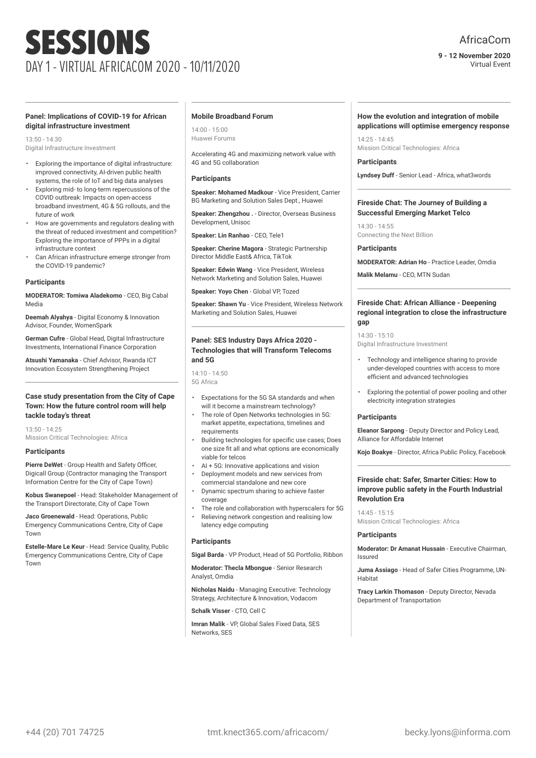# AfricaCom

**9 - 12 November 2020** Virtual Event

#### **Panel: Implications of COVID-19 for African digital infrastructure investment**

13:50 - 14:30 Digital Infrastructure Investment

- Exploring the importance of digital infrastructure: improved connectivity, AI-driven public health systems, the role of IoT and big data analyses
- Exploring mid- to long-term repercussions of the COVID outbreak: Impacts on open-access broadband investment, 4G & 5G rollouts, and the future of work
- How are governments and regulators dealing with the threat of reduced investment and competition? Exploring the importance of PPPs in a digital infrastructure context
- Can African infrastructure emerge stronger from the COVID-19 pandemic?

# **Participants**

**MODERATOR: Tomiwa Aladekomo** - CEO, Big Cabal Media

**Deemah Alyahya** - Digital Economy & Innovation Advisor, Founder, WomenSpark

**German Cufre** - Global Head, Digital Infrastructure Investments, International Finance Corporation

**Atsushi Yamanaka** - Chief Advisor, Rwanda ICT Innovation Ecosystem Strengthening Project

# **Case study presentation from the City of Cape Town: How the future control room will help tackle today's threat**

 $13.50 - 14.25$ Mission Critical Technologies: Africa

#### **Participants**

**Pierre DeWet** - Group Health and Safety Officer, Digicall Group (Contractor managing the Transport Information Centre for the City of Cape Town)

**Kobus Swanepoel** - Head: Stakeholder Management of the Transport Directorate, City of Cape Town

**Jaco Groenewald** - Head: Operations, Public Emergency Communications Centre, City of Cape Town

**Estelle-Mare Le Keur** - Head: Service Quality, Public Emergency Communications Centre, City of Cape Town

#### **Mobile Broadband Forum**

14:00 - 15:00 Huawei Forums

Accelerating 4G and maximizing network value with 4G and 5G collaboration

#### **Participants**

**Speaker: Mohamed Madkour** - Vice President, Carrier BG Marketing and Solution Sales Dept., Huawei

**Speaker: Zhengzhou .** - Director, Overseas Business Development, Unisoc

**Speaker: Lin Ranhao** - CEO, Tele1

**Speaker: Cherine Magora** - Strategic Partnership Director Middle East& Africa, TikTok

**Speaker: Edwin Wang** - Vice President, Wireless Network Marketing and Solution Sales, Huawei

**Speaker: Yoyo Chen** - Global VP, Tozed

**Speaker: Shawn Yu** - Vice President, Wireless Network Marketing and Solution Sales, Huawei

# **Panel: SES Industry Days Africa 2020 - Technologies that will Transform Telecoms and 5G**

 $14:10 - 14:50$ 5G Africa

- Expectations for the 5G SA standards and when will it become a mainstream technology?
- The role of Open Networks technologies in 5G: market appetite, expectations, timelines and requirements
- Building technologies for specific use cases; Does one size fit all and what options are economically viable for telcos
- AI + 5G: Innovative applications and vision
- Deployment models and new services from commercial standalone and new core
- Dynamic spectrum sharing to achieve faster coverage
- The role and collaboration with hyperscalers for 5G
- Relieving network congestion and realising low latency edge computing

# **Participants**

**Sigal Barda** - VP Product, Head of 5G Portfolio, Ribbon

**Moderator: Thecla Mbongue** - Senior Research Analyst, Omdia

**Nicholas Naidu** - Managing Executive: Technology Strategy, Architecture & Innovation, Vodacom

**Schalk Visser** - CTO, Cell C

**Imran Malik** - VP, Global Sales Fixed Data, SES Networks, SES

#### **How the evolution and integration of mobile applications will optimise emergency response**

14:25 - 14:45 Mission Critical Technologies: Africa

#### **Participants**

**Lyndsey Duff** - Senior Lead - Africa, what3words

#### **Fireside Chat: The Journey of Building a Successful Emerging Market Telco**

14:30 - 14:55 Connecting the Next Billion

**Participants**

**MODERATOR: Adrian Ho** - Practice Leader, Omdia

**Malik Melamu** - CEO, MTN Sudan

#### **Fireside Chat: African Alliance - Deepening regional integration to close the infrastructure gap**

14:30 - 15:10

Digital Infrastructure Investment

- Technology and intelligence sharing to provide under-developed countries with access to more efficient and advanced technologies
- Exploring the potential of power pooling and other electricity integration strategies

#### **Participants**

**Eleanor Sarpong** - Deputy Director and Policy Lead, Alliance for Affordable Internet

**Kojo Boakye** - Director, Africa Public Policy, Facebook

# **Fireside chat: Safer, Smarter Cities: How to improve public safety in the Fourth Industrial Revolution Era**

14:45 - 15:15 Mission Critical Technologies: Africa

#### **Participants**

**Moderator: Dr Amanat Hussain** - Executive Chairman, Issured

**Juma Assiago** - Head of Safer Cities Programme, UN-Habitat

**Tracy Larkin Thomason** - Deputy Director, Nevada Department of Transportation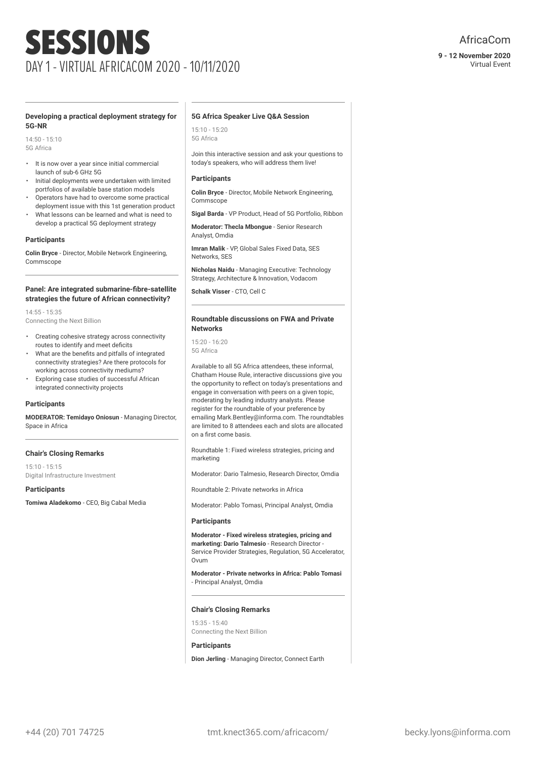Virtual Event

#### **Developing a practical deployment strategy for 5G-NR**

 $14:50 - 15:10$ 5G Africa

- It is now over a year since initial commercial launch of sub-6 GHz 5G
- Initial deployments were undertaken with limited portfolios of available base station models
- Operators have had to overcome some practical deployment issue with this 1st generation product
- What lessons can be learned and what is need to develop a practical 5G deployment strategy

#### **Participants**

**Colin Bryce** - Director, Mobile Network Engineering, Commscope

#### **Panel: Are integrated submarine-fibre-satellite strategies the future of African connectivity?**

14:55 - 15:35 Connecting the Next Billion

- Creating cohesive strategy across connectivity routes to identify and meet deficits
- What are the benefits and pitfalls of integrated connectivity strategies? Are there protocols for working across connectivity mediums?
- Exploring case studies of successful African integrated connectivity projects

# **Participants**

**MODERATOR: Temidayo Oniosun** - Managing Director, Space in Africa

#### **Chair's Closing Remarks**

15:10 - 15:15 Digital Infrastructure Investment

**Participants Tomiwa Aladekomo** - CEO, Big Cabal Media

#### **5G Africa Speaker Live Q&A Session**

15:10 - 15:20 5G Africa

Join this interactive session and ask your questions to today's speakers, who will address them live!

#### **Participants**

**Colin Bryce** - Director, Mobile Network Engineering, Commscope

**Sigal Barda** - VP Product, Head of 5G Portfolio, Ribbon

**Moderator: Thecla Mbongue** - Senior Research Analyst, Omdia

**Imran Malik** - VP, Global Sales Fixed Data, SES Networks, SES

**Nicholas Naidu** - Managing Executive: Technology Strategy, Architecture & Innovation, Vodacom

**Schalk Visser** - CTO, Cell C

#### **Roundtable discussions on FWA and Private Networks**

15:20 - 16:20 5G Africa

Available to all 5G Africa attendees, these informal, Chatham House Rule, interactive discussions give you the opportunity to reflect on today's presentations and engage in conversation with peers on a given topic, moderating by leading industry analysts. Please register for the roundtable of your preference by emailing Mark.Bentley@informa.com. The roundtables are limited to 8 attendees each and slots are allocated on a first come basis.

Roundtable 1: Fixed wireless strategies, pricing and marketing

Moderator: Dario Talmesio, Research Director, Omdia

Roundtable 2: Private networks in Africa

Moderator: Pablo Tomasi, Principal Analyst, Omdia

#### **Participants**

**Moderator - Fixed wireless strategies, pricing and marketing: Dario Talmesio** - Research Director - Service Provider Strategies, Regulation, 5G Accelerator, Ovum

**Moderator - Private networks in Africa: Pablo Tomasi** - Principal Analyst, Omdia

# **Chair's Closing Remarks**

15:35 - 15:40 Connecting the Next Billion

#### **Participants**

**Dion Jerling** - Managing Director, Connect Earth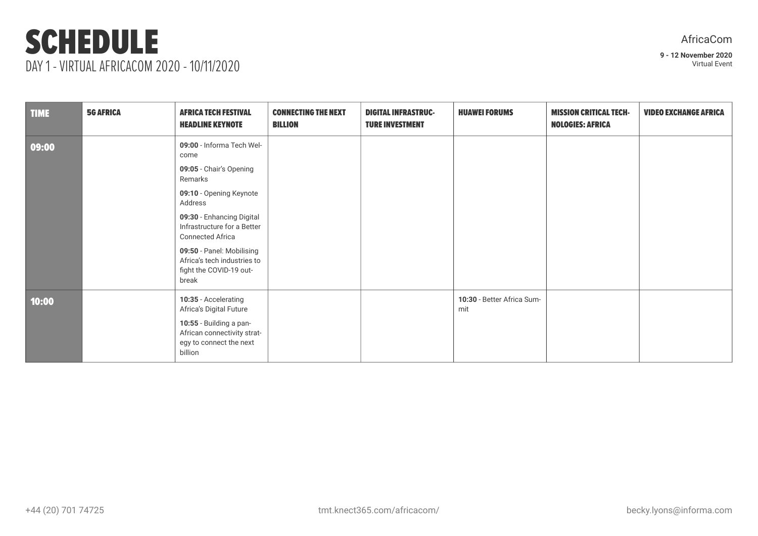# SCHEDULE DAY 1 - VIRTUAL AFRICACOM 2020 - 10/11/2020

| AfricaCom |  |
|-----------|--|
|           |  |

| <b>TIME</b> | <b>5G AFRICA</b> | <b>AFRICA TECH FESTIVAL</b><br><b>HEADLINE KEYNOTE</b>                                                                                                                                                                                                                                               | <b>CONNECTING THE NEXT</b><br><b>BILLION</b> | <b>DIGITAL INFRASTRUC-</b><br><b>TURE INVESTMENT</b> | <b>HUAWEI FORUMS</b>              | <b>MISSION CRITICAL TECH-</b><br><b>NOLOGIES: AFRICA</b> | <b>VIDEO EXCHANGE AFRICA</b> |
|-------------|------------------|------------------------------------------------------------------------------------------------------------------------------------------------------------------------------------------------------------------------------------------------------------------------------------------------------|----------------------------------------------|------------------------------------------------------|-----------------------------------|----------------------------------------------------------|------------------------------|
| 09:00       |                  | 09:00 - Informa Tech Wel-<br>come<br>09:05 - Chair's Opening<br>Remarks<br>09:10 - Opening Keynote<br>Address<br>09:30 - Enhancing Digital<br>Infrastructure for a Better<br><b>Connected Africa</b><br>09:50 - Panel: Mobilising<br>Africa's tech industries to<br>fight the COVID-19 out-<br>break |                                              |                                                      |                                   |                                                          |                              |
| 10:00       |                  | 10:35 - Accelerating<br>Africa's Digital Future<br>10:55 - Building a pan-<br>African connectivity strat-<br>egy to connect the next<br>billion                                                                                                                                                      |                                              |                                                      | 10:30 - Better Africa Sum-<br>mit |                                                          |                              |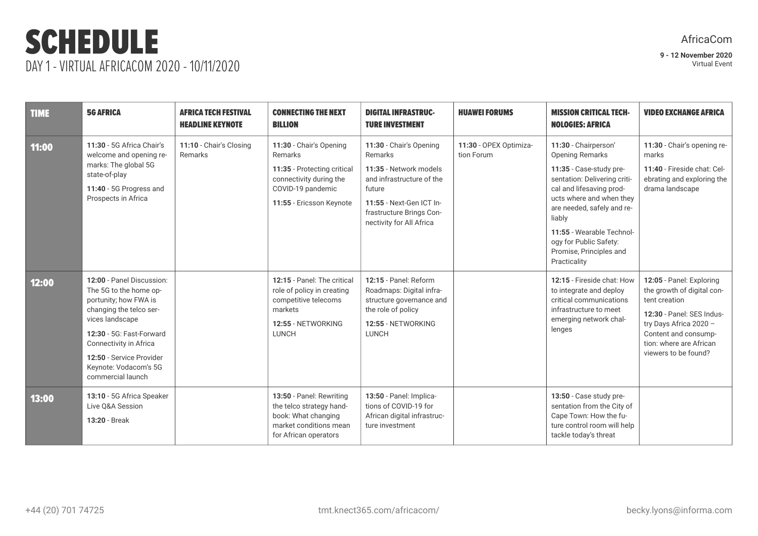# SCHEDULE DAY 1 - VIRTUAL AFRICACOM 2020 - 10/11/2020

| <b>TIME</b> | <b>5G AFRICA</b>                                                                                                                                                                                                                                           | <b>AFRICA TECH FESTIVAL</b><br><b>HEADLINE KEYNOTE</b> | <b>CONNECTING THE NEXT</b><br><b>BILLION</b>                                                                                                  | <b>DIGITAL INFRASTRUC-</b><br><b>TURE INVESTMENT</b>                                                                                                                                    | <b>HUAWEI FORUMS</b>                 | <b>MISSION CRITICAL TECH-</b><br><b>NOLOGIES: AFRICA</b>                                                                                                                                                                                                                                                    | <b>VIDEO EXCHANGE AFRICA</b>                                                                                                                                                                              |
|-------------|------------------------------------------------------------------------------------------------------------------------------------------------------------------------------------------------------------------------------------------------------------|--------------------------------------------------------|-----------------------------------------------------------------------------------------------------------------------------------------------|-----------------------------------------------------------------------------------------------------------------------------------------------------------------------------------------|--------------------------------------|-------------------------------------------------------------------------------------------------------------------------------------------------------------------------------------------------------------------------------------------------------------------------------------------------------------|-----------------------------------------------------------------------------------------------------------------------------------------------------------------------------------------------------------|
| 11:00       | 11:30 - 5G Africa Chair's<br>welcome and opening re-<br>marks: The global 5G<br>state-of-play<br>11:40 - 5G Progress and<br>Prospects in Africa                                                                                                            | 11:10 - Chair's Closing<br>Remarks                     | 11:30 - Chair's Opening<br>Remarks<br>11:35 - Protecting critical<br>connectivity during the<br>COVID-19 pandemic<br>11:55 - Ericsson Keynote | 11:30 - Chair's Opening<br>Remarks<br>11:35 - Network models<br>and infrastructure of the<br>future<br>11:55 - Next-Gen ICT In-<br>frastructure Brings Con-<br>nectivity for All Africa | 11:30 - OPEX Optimiza-<br>tion Forum | 11:30 - Chairperson'<br><b>Opening Remarks</b><br>11:35 - Case-study pre-<br>sentation: Delivering criti-<br>cal and lifesaving prod-<br>ucts where and when they<br>are needed, safely and re-<br>liably<br>11:55 - Wearable Technol-<br>ogy for Public Safety:<br>Promise, Principles and<br>Practicality | 11:30 - Chair's opening re-<br>marks<br>11:40 - Fireside chat: Cel-<br>ebrating and exploring the<br>drama landscape                                                                                      |
| 12:00       | 12:00 - Panel Discussion:<br>The 5G to the home op-<br>portunity; how FWA is<br>changing the telco ser-<br>vices landscape<br>12:30 - 5G: Fast-Forward<br>Connectivity in Africa<br>12:50 - Service Provider<br>Keynote: Vodacom's 5G<br>commercial launch |                                                        | 12:15 - Panel: The critical<br>role of policy in creating<br>competitive telecoms<br>markets<br>12:55 - NETWORKING<br><b>LUNCH</b>            | 12:15 - Panel: Reform<br>Roadmaps: Digital infra-<br>structure governance and<br>the role of policy<br>12:55 - NETWORKING<br><b>LUNCH</b>                                               |                                      | 12:15 - Fireside chat: How<br>to integrate and deploy<br>critical communications<br>infrastructure to meet<br>emerging network chal-<br>lenges                                                                                                                                                              | 12:05 - Panel: Exploring<br>the growth of digital con-<br>tent creation<br>12:30 - Panel: SES Indus-<br>try Days Africa 2020 -<br>Content and consump-<br>tion: where are African<br>viewers to be found? |
| 13:00       | 13:10 - 5G Africa Speaker<br>Live Q&A Session<br>13:20 - Break                                                                                                                                                                                             |                                                        | 13:50 - Panel: Rewriting<br>the telco strategy hand-<br>book: What changing<br>market conditions mean<br>for African operators                | 13:50 - Panel: Implica-<br>tions of COVID-19 for<br>African digital infrastruc-<br>ture investment                                                                                      |                                      | 13:50 - Case study pre-<br>sentation from the City of<br>Cape Town: How the fu-<br>ture control room will help<br>tackle today's threat                                                                                                                                                                     |                                                                                                                                                                                                           |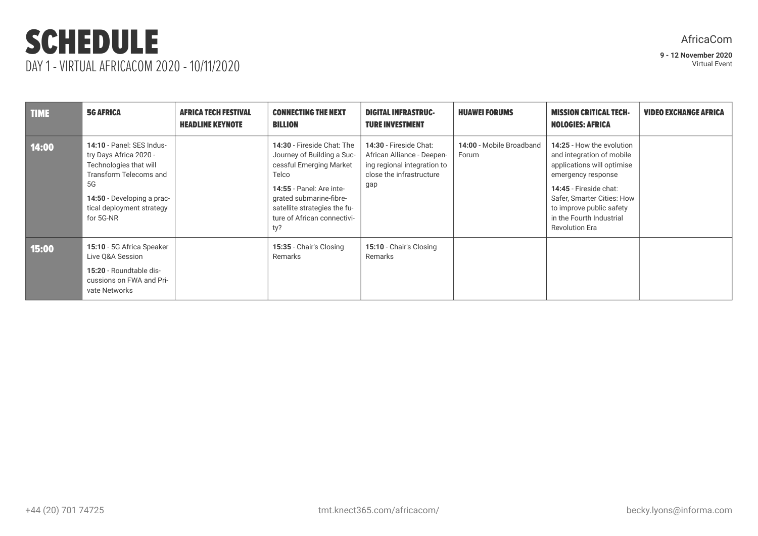# SCHEDULE DAY 1 - VIRTUAL AFRICACOM 2020 - 10/11/2020

# AfricaCom

| <b>TIME</b> | <b>5G AFRICA</b>                                                                                                                                                                      | <b>AFRICA TECH FESTIVAL</b><br><b>HEADLINE KEYNOTE</b> | <b>CONNECTING THE NEXT</b><br><b>BILLION</b>                                                                                                                                                                              | <b>DIGITAL INFRASTRUC-</b><br><b>TURE INVESTMENT</b>                                                                   | <b>HUAWEI FORUMS</b>              | <b>MISSION CRITICAL TECH-</b><br><b>NOLOGIES: AFRICA</b>                                                                                                                                                                                            | <b>VIDEO EXCHANGE AFRICA</b> |
|-------------|---------------------------------------------------------------------------------------------------------------------------------------------------------------------------------------|--------------------------------------------------------|---------------------------------------------------------------------------------------------------------------------------------------------------------------------------------------------------------------------------|------------------------------------------------------------------------------------------------------------------------|-----------------------------------|-----------------------------------------------------------------------------------------------------------------------------------------------------------------------------------------------------------------------------------------------------|------------------------------|
| 14:00       | 14:10 - Panel: SES Indus-<br>try Days Africa 2020 -<br>Technologies that will<br>Transform Telecoms and<br>5G<br>14:50 - Developing a prac-<br>tical deployment strategy<br>for 5G-NR |                                                        | 14:30 - Fireside Chat: The<br>Journey of Building a Suc-<br>cessful Emerging Market<br>Telco<br>14:55 - Panel: Are inte-<br>grated submarine-fibre-<br>satellite strategies the fu-<br>ture of African connectivi-<br>ty? | 14:30 - Fireside Chat:<br>African Alliance - Deepen-<br>ing regional integration to<br>close the infrastructure<br>gap | 14:00 - Mobile Broadband<br>Forum | 14:25 - How the evolution<br>and integration of mobile<br>applications will optimise<br>emergency response<br>14:45 - Fireside chat:<br>Safer, Smarter Cities: How<br>to improve public safety<br>in the Fourth Industrial<br><b>Revolution Era</b> |                              |
| 15:00       | 15:10 - 5G Africa Speaker<br>Live Q&A Session<br>15:20 - Roundtable dis-<br>cussions on FWA and Pri-<br>vate Networks                                                                 |                                                        | 15:35 - Chair's Closing<br>Remarks                                                                                                                                                                                        | 15:10 - Chair's Closing<br>Remarks                                                                                     |                                   |                                                                                                                                                                                                                                                     |                              |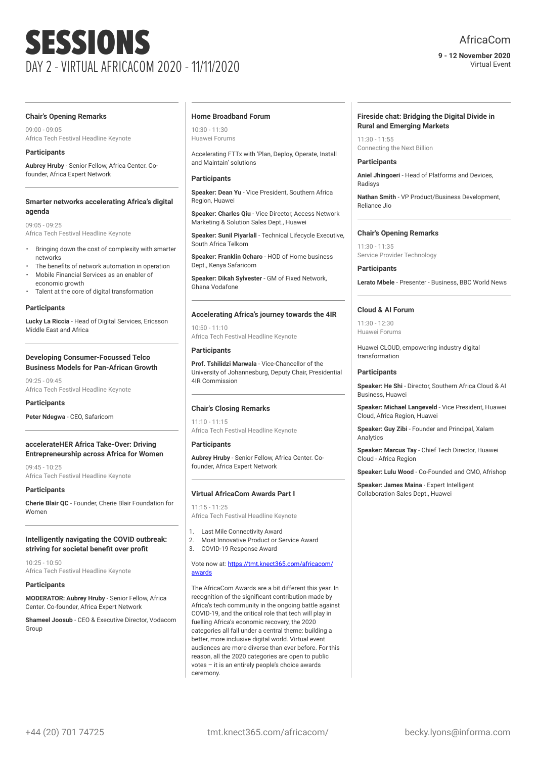# AfricaCom

**9 - 12 November 2020** Virtual Event

#### **Chair's Opening Remarks**

09:00 - 09:05 Africa Tech Festival Headline Keynote

# **Participants**

**Aubrey Hruby** - Senior Fellow, Africa Center. Cofounder, Africa Expert Network

#### **Smarter networks accelerating Africa's digital agenda**

09:05 - 09:25 Africa Tech Festival Headline Keynote

- Bringing down the cost of complexity with smarter networks
- The benefits of network automation in operation • Mobile Financial Services as an enabler of
- economic growth
- Talent at the core of digital transformation

# **Participants**

**Lucky La Riccia** - Head of Digital Services, Ericsson Middle East and Africa

# **Developing Consumer-Focussed Telco Business Models for Pan-African Growth**

 $09.25 - 09.45$ Africa Tech Festival Headline Keynote

# **Participants**

**Peter Ndegwa** - CEO, Safaricom

# **accelerateHER Africa Take-Over: Driving Entrepreneurship across Africa for Women**

09:45 - 10:25 Africa Tech Festival Headline Keynote

# **Participants**

**Cherie Blair QC** - Founder, Cherie Blair Foundation for Women

# **Intelligently navigating the COVID outbreak: striving for societal benefit over profit**

 $10.25 - 10.50$ Africa Tech Festival Headline Keynote

# **Participants**

**MODERATOR: Aubrey Hruby** - Senior Fellow, Africa Center. Co-founder, Africa Expert Network

**Shameel Joosub** - CEO & Executive Director, Vodacom Group

#### **Home Broadband Forum**

10:30 - 11:30 Huawei Forums

Accelerating FTTx with 'Plan, Deploy, Operate, Install and Maintain' solutions

# **Participants**

**Speaker: Dean Yu** - Vice President, Southern Africa Region, Huawei

**Speaker: Charles Qiu** - Vice Director, Access Network Marketing & Solution Sales Dept., Huawei

**Speaker: Sunil Piyarlall** - Technical Lifecycle Executive, South Africa Telkom

**Speaker: Franklin Ocharo** - HOD of Home business Dept., Kenya Safaricom

**Speaker: Dikah Sylvester** - GM of Fixed Network, Ghana Vodafone

# **Accelerating Africa's journey towards the 4IR**

10:50 - 11:10 Africa Tech Festival Headline Keynote

# **Participants**

**Prof. Tshilidzi Marwala** - Vice-Chancellor of the University of Johannesburg, Deputy Chair, Presidential 4IR Commission

# **Chair's Closing Remarks**

11:10 - 11:15 Africa Tech Festival Headline Keynote

# **Participants**

**Aubrey Hruby** - Senior Fellow, Africa Center. Cofounder, Africa Expert Network

# **Virtual AfricaCom Awards Part I**

11:15 - 11:25 Africa Tech Festival Headline Keynote

- 1. Last Mile Connectivity Award
- 2. Most Innovative Product or Service Award
- 3. COVID-19 Response Award

#### Vote now at: [https://tmt.knect365.com/africacom/](https://tmt.knect365.com/africacom/awards/) [awards](https://tmt.knect365.com/africacom/awards/)

The AfricaCom Awards are a bit different this year. In recognition of the significant contribution made by Africa's tech community in the ongoing battle against COVID-19, and the critical role that tech will play in fuelling Africa's economic recovery, the 2020 categories all fall under a central theme: building a better, more inclusive digital world. Virtual event audiences are more diverse than ever before. For this reason, all the 2020 categories are open to public votes – it is an entirely people's choice awards ceremony.

#### **Fireside chat: Bridging the Digital Divide in Rural and Emerging Markets**

 $11:30 - 11:55$ Connecting the Next Billion

#### **Participants**

**Aniel Jhingoeri** - Head of Platforms and Devices, Radisys

**Nathan Smith** - VP Product/Business Development, Reliance Jio

# **Chair's Opening Remarks**

11:30 - 11:35 Service Provider Technology

**Participants Lerato Mbele** - Presenter - Business, BBC World News

# **Cloud & AI Forum**

11:30 - 12:30 Huawei Forums

Huawei CLOUD, empowering industry digital transformation

# **Participants**

**Speaker: He Shi** - Director, Southern Africa Cloud & AI Business, Huawei

**Speaker: Michael Langeveld** - Vice President, Huawei Cloud, Africa Region, Huawei

**Speaker: Guy Zibi** - Founder and Principal, Xalam Analytics

**Speaker: Marcus Tay** - Chief Tech Director, Huawei Cloud - Africa Region

**Speaker: Lulu Wood** - Co-Founded and CMO, Afrishop

**Speaker: James Maina** - Expert Intelligent Collaboration Sales Dept., Huawei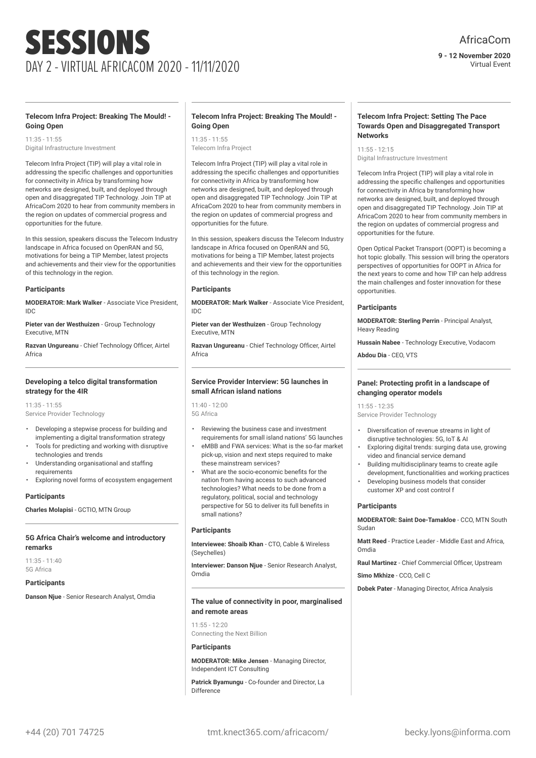**9 - 12 November 2020** Virtual Event

# **Telecom Infra Project: Breaking The Mould! - Going Open**

11:35 - 11:55 Digital Infrastructure Investment

Telecom Infra Project (TIP) will play a vital role in addressing the specific challenges and opportunities for connectivity in Africa by transforming how networks are designed, built, and deployed through open and disaggregated TIP Technology. Join TIP at AfricaCom 2020 to hear from community members in the region on updates of commercial progress and opportunities for the future.

In this session, speakers discuss the Telecom Industry landscape in Africa focused on OpenRAN and 5G, motivations for being a TIP Member, latest projects and achievements and their view for the opportunities of this technology in the region.

# **Participants**

**MODERATOR: Mark Walker** - Associate Vice President, IDC

**Pieter van der Westhuizen** - Group Technology Executive, MTN

**Razvan Ungureanu** - Chief Technology Officer, Airtel Africa

#### **Developing a telco digital transformation strategy for the 4IR**

11:35 - 11:55 Service Provider Technology

- Developing a stepwise process for building and implementing a digital transformation strategy
- Tools for predicting and working with disruptive technologies and trends
- Understanding organisational and staffing requirements
- Exploring novel forms of ecosystem engagement

#### **Participants**

**Charles Molapisi** - GCTIO, MTN Group

#### **5G Africa Chair's welcome and introductory remarks**

 $11:35 - 11:40$ 5G Africa

# **Participants**

**Danson Njue** - Senior Research Analyst, Omdia

# **Telecom Infra Project: Breaking The Mould! - Going Open**

11:35 - 11:55

Telecom Infra Project

Telecom Infra Project (TIP) will play a vital role in addressing the specific challenges and opportunities for connectivity in Africa by transforming how networks are designed, built, and deployed through open and disaggregated TIP Technology. Join TIP at AfricaCom 2020 to hear from community members in the region on updates of commercial progress and opportunities for the future.

In this session, speakers discuss the Telecom Industry landscape in Africa focused on OpenRAN and 5G, motivations for being a TIP Member, latest projects and achievements and their view for the opportunities of this technology in the region.

#### **Participants**

**MODERATOR: Mark Walker** - Associate Vice President, IDC

**Pieter van der Westhuizen** - Group Technology Executive, MTN

**Razvan Ungureanu** - Chief Technology Officer, Airtel Africa

#### **Service Provider Interview: 5G launches in small African island nations**

11:40 - 12:00 5G Africa

- Reviewing the business case and investment requirements for small island nations' 5G launches
- eMBB and FWA services: What is the so-far market pick-up, vision and next steps required to make these mainstream services?
- What are the socio-economic benefits for the nation from having access to such advanced technologies? What needs to be done from a regulatory, political, social and technology perspective for 5G to deliver its full benefits in small nations?

#### **Participants**

**Interviewee: Shoaib Khan** - CTO, Cable & Wireless (Seychelles)

**Interviewer: Danson Njue** - Senior Research Analyst, Omdia

# **The value of connectivity in poor, marginalised and remote areas**

 $11:55 - 12:20$ Connecting the Next Billion

# **Participants**

**MODERATOR: Mike Jensen** - Managing Director, Independent ICT Consulting

**Patrick Byamungu** - Co-founder and Director, La **Difference** 

# **Telecom Infra Project: Setting The Pace Towards Open and Disaggregated Transport Networks**

 $11:55 - 12:15$ Digital Infrastructure Investment

Telecom Infra Project (TIP) will play a vital role in addressing the specific challenges and opportunities for connectivity in Africa by transforming how networks are designed, built, and deployed through open and disaggregated TIP Technology. Join TIP at AfricaCom 2020 to hear from community members in the region on updates of commercial progress and opportunities for the future.

Open Optical Packet Transport (OOPT) is becoming a hot topic globally. This session will bring the operators perspectives of opportunities for OOPT in Africa for the next years to come and how TIP can help address the main challenges and foster innovation for these opportunities.

#### **Participants**

**MODERATOR: Sterling Perrin** - Principal Analyst, Heavy Reading

**Hussain Nabee** - Technology Executive, Vodacom

**Abdou Dia** - CEO, VTS

# **Panel: Protecting profit in a landscape of changing operator models**

 $11.55 - 12.35$ Service Provider Technology

- Diversification of revenue streams in light of disruptive technologies: 5G, IoT & AI
- Exploring digital trends: surging data use, growing video and financial service demand
- Building multidisciplinary teams to create agile development, functionalities and working practices
- Developing business models that consider customer XP and cost control f

# **Participants**

**MODERATOR: Saint Doe-Tamakloe** - CCO, MTN South Sudan

**Matt Reed** - Practice Leader - Middle East and Africa, Omdia

**Raul Martinez** - Chief Commercial Officer, Upstream

**Simo Mkhize** - CCO, Cell C

**Dobek Pater** - Managing Director, Africa Analysis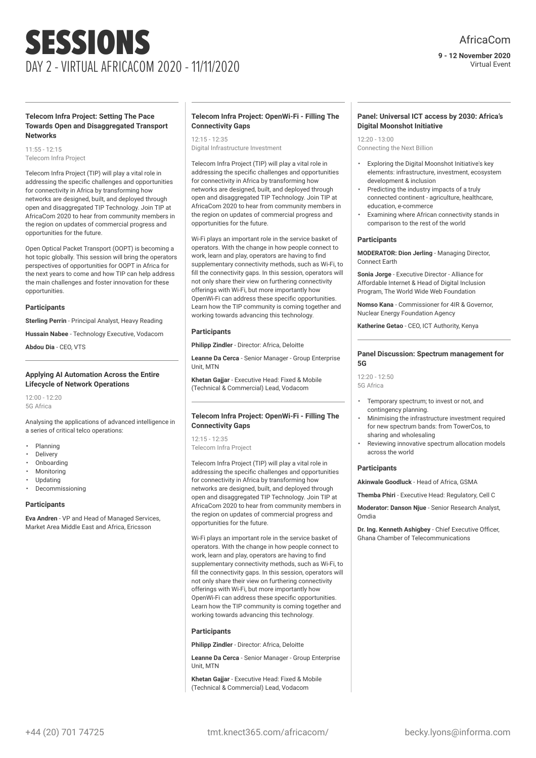Virtual Event

#### **Telecom Infra Project: Setting The Pace Towards Open and Disaggregated Transport Networks**

11:55 - 12:15 Telecom Infra Project

Telecom Infra Project (TIP) will play a vital role in addressing the specific challenges and opportunities for connectivity in Africa by transforming how networks are designed, built, and deployed through open and disaggregated TIP Technology. Join TIP at AfricaCom 2020 to hear from community members in the region on updates of commercial progress and opportunities for the future.

Open Optical Packet Transport (OOPT) is becoming a hot topic globally. This session will bring the operators perspectives of opportunities for OOPT in Africa for the next years to come and how TIP can help address the main challenges and foster innovation for these opportunities.

#### **Participants**

**Sterling Perrin** - Principal Analyst, Heavy Reading

**Hussain Nabee** - Technology Executive, Vodacom

**Abdou Dia** - CEO, VTS

#### **Applying AI Automation Across the Entire Lifecycle of Network Operations**

12:00 - 12:20 5G Africa

Analysing the applications of advanced intelligence in a series of critical telco operations:

- Planning
- **Delivery**
- Onboarding
- **Monitoring**
- Updating
- Decommissioning

#### **Participants**

**Eva Andren** - VP and Head of Managed Services, Market Area Middle East and Africa, Ericsson

# **Telecom Infra Project: OpenWi-Fi - Filling The Connectivity Gaps**

 $12.15 - 12.35$ Digital Infrastructure Investment

Telecom Infra Project (TIP) will play a vital role in addressing the specific challenges and opportunities for connectivity in Africa by transforming how networks are designed, built, and deployed through open and disaggregated TIP Technology. Join TIP at AfricaCom 2020 to hear from community members in the region on updates of commercial progress and opportunities for the future.

Wi-Fi plays an important role in the service basket of operators. With the change in how people connect to work, learn and play, operators are having to find supplementary connectivity methods, such as Wi-Fi, to fill the connectivity gaps. In this session, operators will not only share their view on furthering connectivity offerings with Wi-Fi, but more importantly how OpenWi-Fi can address these specific opportunities. Learn how the TIP community is coming together and working towards advancing this technology.

#### **Participants**

**Philipp Zindler** - Director: Africa, Deloitte

**Leanne Da Cerca** - Senior Manager - Group Enterprise Unit, MTN

**Khetan Gajjar** - Executive Head: Fixed & Mobile (Technical & Commercial) Lead, Vodacom

# **Telecom Infra Project: OpenWi-Fi - Filling The Connectivity Gaps**

12:15 - 12:35

Telecom Infra Project

Telecom Infra Project (TIP) will play a vital role in addressing the specific challenges and opportunities for connectivity in Africa by transforming how networks are designed, built, and deployed through open and disaggregated TIP Technology. Join TIP at AfricaCom 2020 to hear from community members in the region on updates of commercial progress and opportunities for the future.

Wi-Fi plays an important role in the service basket of operators. With the change in how people connect to work, learn and play, operators are having to find supplementary connectivity methods, such as Wi-Fi, to fill the connectivity gaps. In this session, operators will not only share their view on furthering connectivity offerings with Wi-Fi, but more importantly how OpenWi-Fi can address these specific opportunities. Learn how the TIP community is coming together and working towards advancing this technology.

#### **Participants**

**Philipp Zindler** - Director: Africa, Deloitte

**Leanne Da Cerca** - Senior Manager - Group Enterprise Unit, MTN

**Khetan Gajjar** - Executive Head: Fixed & Mobile (Technical & Commercial) Lead, Vodacom

# **Panel: Universal ICT access by 2030: Africa's Digital Moonshot Initiative**

 $12:20 - 13:00$ Connecting the Next Billion

- Exploring the Digital Moonshot Initiative's key elements: infrastructure, investment, ecosystem development & inclusion
- Predicting the industry impacts of a truly connected continent - agriculture, healthcare, education, e-commerce
- Examining where African connectivity stands in comparison to the rest of the world

#### **Participants**

**MODERATOR: Dion Jerling** - Managing Director, Connect Earth

**Sonia Jorge** - Executive Director - Alliance for Affordable Internet & Head of Digital Inclusion Program, The World Wide Web Foundation

**Nomso Kana** - Commissioner for 4IR & Governor, Nuclear Energy Foundation Agency

**Katherine Getao** - CEO, ICT Authority, Kenya

#### **Panel Discussion: Spectrum management for 5G**

 $12:20 - 12:50$ 5G Africa

- Temporary spectrum; to invest or not, and contingency planning.
- Minimising the infrastructure investment required for new spectrum bands: from TowerCos, to sharing and wholesaling
- Reviewing innovative spectrum allocation models across the world

#### **Participants**

**Akinwale Goodluck** - Head of Africa, GSMA

**Themba Phiri** - Executive Head: Regulatory, Cell C

**Moderator: Danson Njue** - Senior Research Analyst, Omdia

**Dr. Ing. Kenneth Ashigbey** - Chief Executive Officer, Ghana Chamber of Telecommunications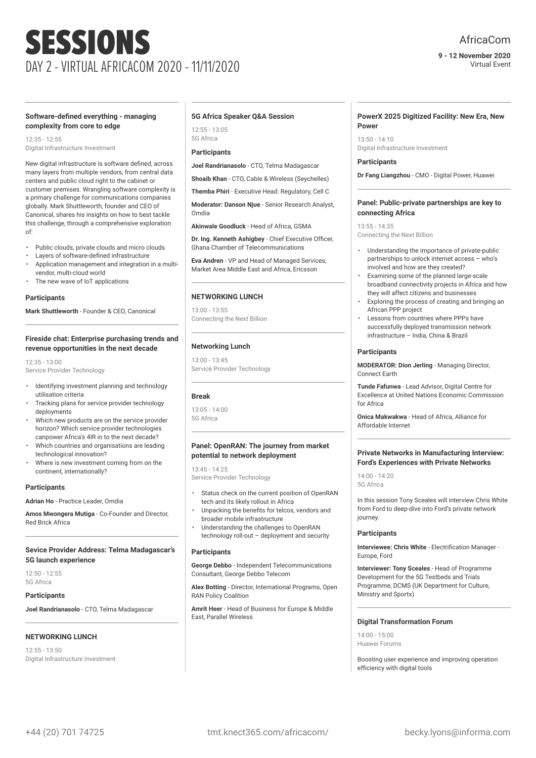# AfricaCom

#### **9 - 12 November 2020** Virtual Event

#### **Software-defined everything - managing complexity from core to edge**

 $12.35 - 12.55$ Digital Infrastructure Investment

New digital infrastructure is software defined, across many layers from multiple vendors, from central data centers and public cloud right to the cabinet or customer premises. Wrangling software complexity is a primary challenge for communications companies globally. Mark Shuttleworth, founder and CEO of Canonical, shares his insights on how to best tackle this challenge, through a comprehensive exploration of:

- Public clouds, private clouds and micro clouds
- Layers of software-defined infrastructure
- Application management and integration in a multivendor, multi-cloud world
- The new wave of IoT applications

#### **Participants**

**Mark Shuttleworth** - Founder & CEO, Canonical

#### **Fireside chat: Enterprise purchasing trends and revenue opportunities in the next decade**

12:35 - 13:00 Service Provider Technology

- Identifying investment planning and technology utilisation criteria
- Tracking plans for service provider technology deployments
- Which new products are on the service provider horizon? Which service provider technologies canpower Africa's 4IR in to the next decade?
- Which countries and organisations are leading technological innovation?
- Where is new investment coming from on the continent, internationally?

#### **Participants**

**Adrian Ho** - Practice Leader, Omdia

**Amos Mwongera Mutiga** - Co-Founder and Director, Red Brick Africa

#### **Sevice Provider Address: Telma Madagascar's 5G launch experience**

12:50 - 12:55 5G Africa

# **Participants**

**Joel Randrianasolo** - CTO, Telma Madagascar

# **NETWORKING LUNCH**

12:55 - 13:50 Digital Infrastructure Investment

#### **5G Africa Speaker Q&A Session**

12:55 - 13:05 5G Africa

# **Participants**

**Joel Randrianasolo** - CTO, Telma Madagascar

**Shoaib Khan** - CTO, Cable & Wireless (Seychelles)

**Themba Phiri** - Executive Head: Regulatory, Cell C

**Moderator: Danson Njue** - Senior Research Analyst, Omdia

**Akinwale Goodluck** - Head of Africa, GSMA

**Dr. Ing. Kenneth Ashigbey** - Chief Executive Officer, Ghana Chamber of Telecommunications

**Eva Andren** - VP and Head of Managed Services, Market Area Middle East and Africa, Ericsson

# **NETWORKING LUNCH**

13:00 - 13:55 Connecting the Next Billion

# **Networking Lunch**

13:00 - 13:45 Service Provider Technology

# **Break**

13:05 - 14:00 5G Africa

# **Panel: OpenRAN: The journey from market potential to network deployment**

13:45 - 14:25 Service Provider Technology

- Status check on the current position of OpenRAN tech and its likely rollout in Africa
- Unpacking the benefits for telcos, vendors and broader mobile infrastructure
- Understanding the challenges to OpenRAN technology roll-out – deployment and security

#### **Participants**

**George Debbo** - Independent Telecommunications Consultant, George Debbo Telecom

**Alex Botting** - Director, International Programs, Open RAN Policy Coalition

**Amrit Heer** - Head of Business for Europe & Middle East, Parallel Wireless

#### **PowerX 2025 Digitized Facility: New Era, New Power**

 $13:50 - 14:10$ Digital Infrastructure Investment

#### **Participants**

**Dr Fang Liangzhou** - CMO - Digital Power, Huawei

#### **Panel: Public-private partnerships are key to connecting Africa**

13:55 - 14:35 Connecting the Next Billion

- Understanding the importance of private-public partnerships to unlock internet access – who's involved and how are they created?
- Examining some of the planned large-scale broadband connectivity projects in Africa and how they will affect citizens and businesses
- Exploring the process of creating and bringing an African PPP project
- Lessons from countries where PPPs have successfully deployed transmission network infrastructure – India, China & Brazil

# **Participants**

**MODERATOR: Dion Jerling** - Managing Director, Connect Earth

**Tunde Fafunwa** - Lead Advisor, Digital Centre for Excellence at United Nations Economic Commission for Africa

**Onica Makwakwa** - Head of Africa, Alliance for Affordable Internet

#### **Private Networks in Manufacturing Interview: Ford's Experiences with Private Networks**

14:00 - 14:20 5G Africa

In this session Tony Sceales will interview Chris White from Ford to deep-dive into Ford's private network journey.

# **Participants**

**Interviewee: Chris White** - Electrification Manager - Europe, Ford

**Interviewer: Tony Sceales** - Head of Programme Development for the 5G Testbeds and Trials Programme, DCMS (UK Department for Culture, Ministry and Sports)

#### **Digital Transformation Forum**

14:00 - 15:00 Huawei Forums

Boosting user experience and improving operation efficiency with digital tools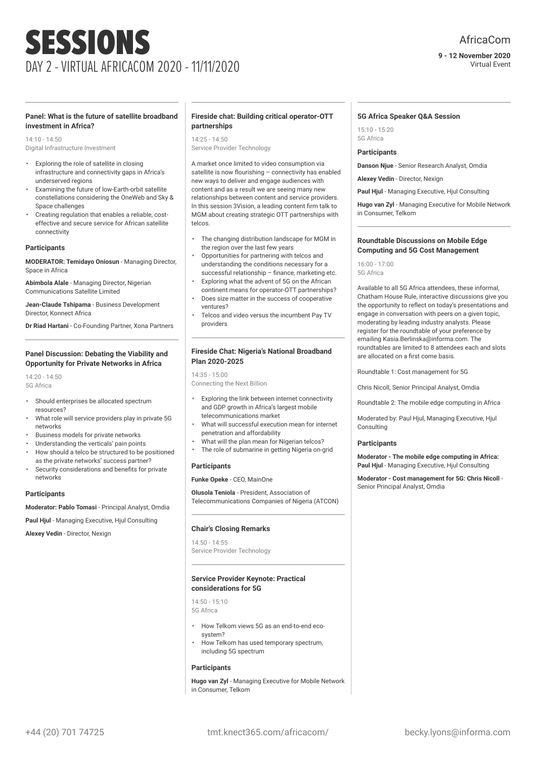#### **9 - 12 November 2020** Virtual Event

# **Panel: What is the future of satellite broadband investment in Africa?**

14:10 - 14:50 Digital Infrastructure Investment

- Exploring the role of satellite in closing infrastructure and connectivity gaps in Africa's underserved regions
- Examining the future of low-Earth-orbit satellite constellations considering the OneWeb and Sky & Space challenges
- Creating regulation that enables a reliable, costeffective and secure service for African satellite connectivity

#### **Participants**

**MODERATOR: Temidayo Oniosun** - Managing Director, Space in Africa

**Abimbola Alale** - Managing Director, Nigerian Communications Satellite Limited

**Jean-Claude Tshipama** - Business Development Director, Konnect Africa

**Dr Riad Hartani** - Co-Founding Partner, Xona Partners

# **Panel Discussion: Debating the Viability and Opportunity for Private Networks in Africa**

14:20 - 14:50 5G Africa

- Should enterprises be allocated spectrum resources?
- What role will service providers play in private 5G networks
- Business models for private networks
- Understanding the verticals' pain points
- How should a telco be structured to be positioned as the private networks' success partner?
- Security considerations and benefits for private networks

#### **Participants**

**Moderator: Pablo Tomasi** - Principal Analyst, Omdia

**Paul Hjul** - Managing Executive, Hjul Consulting

**Alexey Vedin** - Director, Nexign

# **Fireside chat: Building critical operator-OTT partnerships**

 $14.25 - 14.50$ 

Service Provider Technology

A market once limited to video consumption via satellite is now flourishing – connectivity has enabled new ways to deliver and engage audiences with content and as a result we are seeing many new relationships between content and service providers. In this session 3Vision, a leading content firm talk to MGM about creating strategic OTT partnerships with telcos.

- The changing distribution landscape for MGM in the region over the last few years
- Opportunities for partnering with telcos and understanding the conditions necessary for a successful relationship – finance, marketing etc.
- Exploring what the advent of 5G on the African continent means for operator-OTT partnerships?
- Does size matter in the success of cooperative ventures?
- Telcos and video versus the incumbent Pay TV providers

#### **Fireside Chat: Nigeria's National Broadband Plan 2020-2025**

14:35 - 15:00 Connecting the Next Billion

- Exploring the link between internet connectivity and GDP growth in Africa's largest mobile telecommunications market
- What will successful execution mean for internet penetration and affordability
- What will the plan mean for Nigerian telcos?
- The role of submarine in getting Nigeria on-grid

# **Participants**

**Funke Opeke** - CEO, MainOne

**Olusola Teniola** - President, Association of Telecommunications Companies of Nigeria (ATCON)

#### **Chair's Closing Remarks**

 $14:50 - 14:55$ Service Provider Technology

#### **Service Provider Keynote: Practical considerations for 5G**

14:50 - 15:10 5G Africa

- How Telkom views 5G as an end-to-end ecosystem?
- How Telkom has used temporary spectrum, including 5G spectrum

# **Participants**

**Hugo van Zyl** - Managing Executive for Mobile Network in Consumer, Telkom

#### **5G Africa Speaker Q&A Session**

15:10 - 15:20 5G Africa

# **Participants**

**Danson Njue** - Senior Research Analyst, Omdia

**Alexey Vedin** - Director, Nexign

**Paul Hjul** - Managing Executive, Hjul Consulting

**Hugo van Zyl** - Managing Executive for Mobile Network in Consumer, Telkom

#### **Roundtable Discussions on Mobile Edge Computing and 5G Cost Management**

16:00 - 17:00 5G Africa

Available to all 5G Africa attendees, these informal, Chatham House Rule, interactive discussions give you the opportunity to reflect on today's presentations and engage in conversation with peers on a given topic, moderating by leading industry analysts. Please register for the roundtable of your preference by emailing Kasia.Berlinska@informa.com. The roundtables are limited to 8 attendees each and slots are allocated on a first come basis.

Roundtable 1: Cost management for 5G

Chris Nicoll, Senior Principal Analyst, Omdia

Roundtable 2: The mobile edge computing in Africa

Moderated by: Paul Hjul, Managing Executive, Hjul Consulting

#### **Participants**

**Moderator - The mobile edge computing in Africa: Paul Hjul** - Managing Executive, Hjul Consulting

**Moderator - Cost management for 5G: Chris Nicoll** - Senior Principal Analyst, Omdia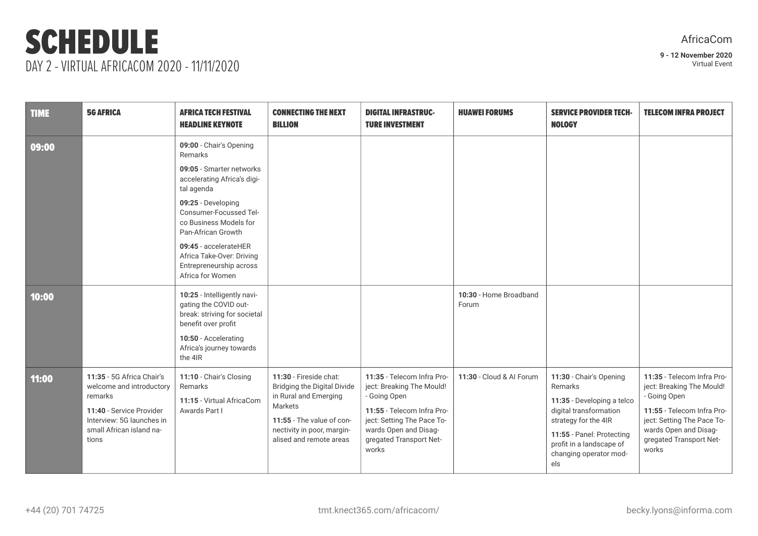# SCHEDULE DAY 2 - VIRTUAL AFRICACOM 2020 - 11/11/2020

| AfricaCom |  |
|-----------|--|
|           |  |

| <b>TIME</b> | <b>5G AFRICA</b>                                                                                                                                               | <b>AFRICA TECH FESTIVAL</b><br><b>HEADLINE KEYNOTE</b>                                                                                                                                                                                                                                                           | <b>CONNECTING THE NEXT</b><br><b>BILLION</b>                                                                                                                                    | <b>DIGITAL INFRASTRUC-</b><br><b>TURE INVESTMENT</b>                                                                                                                                             | <b>HUAWEI FORUMS</b>            | <b>SERVICE PROVIDER TECH-</b><br><b>NOLOGY</b>                                                                                                                                                               | <b>TELECOM INFRA PROJECT</b>                                                                                                                                                                     |
|-------------|----------------------------------------------------------------------------------------------------------------------------------------------------------------|------------------------------------------------------------------------------------------------------------------------------------------------------------------------------------------------------------------------------------------------------------------------------------------------------------------|---------------------------------------------------------------------------------------------------------------------------------------------------------------------------------|--------------------------------------------------------------------------------------------------------------------------------------------------------------------------------------------------|---------------------------------|--------------------------------------------------------------------------------------------------------------------------------------------------------------------------------------------------------------|--------------------------------------------------------------------------------------------------------------------------------------------------------------------------------------------------|
| 09:00       |                                                                                                                                                                | 09:00 - Chair's Opening<br>Remarks<br>09:05 - Smarter networks<br>accelerating Africa's digi-<br>tal agenda<br>09:25 - Developing<br>Consumer-Focussed Tel-<br>co Business Models for<br>Pan-African Growth<br>09:45 - accelerateHER<br>Africa Take-Over: Driving<br>Entrepreneurship across<br>Africa for Women |                                                                                                                                                                                 |                                                                                                                                                                                                  |                                 |                                                                                                                                                                                                              |                                                                                                                                                                                                  |
| 10:00       |                                                                                                                                                                | 10:25 - Intelligently navi-<br>gating the COVID out-<br>break: striving for societal<br>benefit over profit<br>10:50 - Accelerating<br>Africa's journey towards<br>the 4IR                                                                                                                                       |                                                                                                                                                                                 |                                                                                                                                                                                                  | 10:30 - Home Broadband<br>Forum |                                                                                                                                                                                                              |                                                                                                                                                                                                  |
| 11:00       | 11:35 - 5G Africa Chair's<br>welcome and introductory<br>remarks<br>11:40 - Service Provider<br>Interview: 5G launches in<br>small African island na-<br>tions | 11:10 - Chair's Closing<br>Remarks<br>11:15 - Virtual AfricaCom<br>Awards Part I                                                                                                                                                                                                                                 | 11:30 - Fireside chat:<br>Bridging the Digital Divide<br>in Rural and Emerging<br>Markets<br>11:55 - The value of con-<br>nectivity in poor, margin-<br>alised and remote areas | 11:35 - Telecom Infra Pro-<br>ject: Breaking The Mould!<br>- Going Open<br>11:55 - Telecom Infra Pro-<br>ject: Setting The Pace To-<br>wards Open and Disag-<br>gregated Transport Net-<br>works | 11:30 - Cloud & AI Forum        | 11:30 - Chair's Opening<br>Remarks<br>11:35 - Developing a telco<br>digital transformation<br>strategy for the 4IR<br>11:55 - Panel: Protecting<br>profit in a landscape of<br>changing operator mod-<br>els | 11:35 - Telecom Infra Pro-<br>ject: Breaking The Mould!<br>- Going Open<br>11:55 - Telecom Infra Pro-<br>ject: Setting The Pace To-<br>wards Open and Disag-<br>gregated Transport Net-<br>works |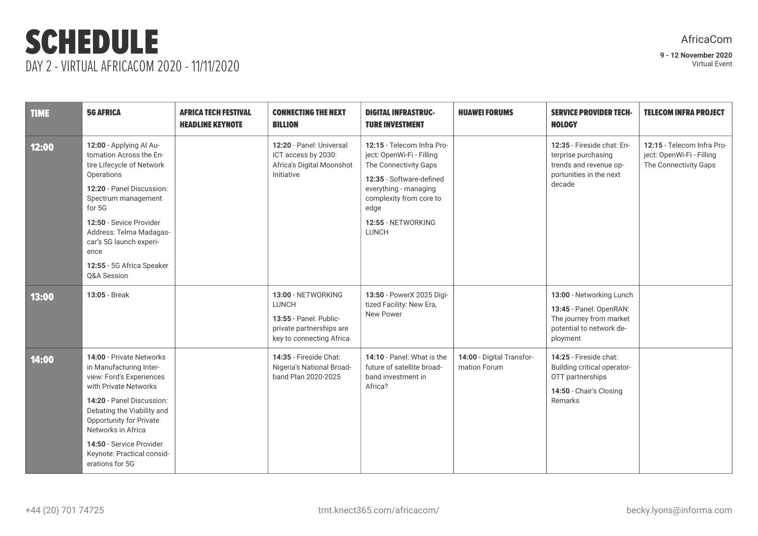# SCHEDULE DAY 2 - VIRTUAL AFRICACOM 2020 - 11/11/2020

# AfricaCom

| <b>TIME</b> | <b>5G AFRICA</b>                                                                                                                                                                                                                                                                                  | <b>AFRICA TECH FESTIVAL</b><br><b>HEADLINE KEYNOTE</b> | <b>CONNECTING THE NEXT</b><br><b>BILLION</b>                                                                         | <b>DIGITAL INFRASTRUC-</b><br><b>TURE INVESTMENT</b>                                                                                                                                                           | <b>HUAWEI FORUMS</b>                      | <b>SERVICE PROVIDER TECH-</b><br><b>NOLOGY</b>                                                                         | <b>TELECOM INFRA PROJECT</b>                                                     |
|-------------|---------------------------------------------------------------------------------------------------------------------------------------------------------------------------------------------------------------------------------------------------------------------------------------------------|--------------------------------------------------------|----------------------------------------------------------------------------------------------------------------------|----------------------------------------------------------------------------------------------------------------------------------------------------------------------------------------------------------------|-------------------------------------------|------------------------------------------------------------------------------------------------------------------------|----------------------------------------------------------------------------------|
| 12:00       | 12:00 - Applying Al Au-<br>tomation Across the En-<br>tire Lifecycle of Network<br>Operations<br>12:20 - Panel Discussion:<br>Spectrum management<br>for 5G<br>12:50 - Sevice Provider<br>Address: Telma Madagas-<br>car's 5G launch experi-<br>ence<br>12:55 - 5G Africa Speaker<br>Q&A Session  |                                                        | 12:20 - Panel: Universal<br>ICT access by 2030:<br>Africa's Digital Moonshot<br>Initiative                           | 12:15 - Telecom Infra Pro-<br>ject: OpenWi-Fi - Filling<br>The Connectivity Gaps<br>12:35 - Software-defined<br>everything - managing<br>complexity from core to<br>edge<br>12:55 - NETWORKING<br><b>LUNCH</b> |                                           | 12:35 - Fireside chat: En-<br>terprise purchasing<br>trends and revenue op-<br>portunities in the next<br>decade       | 12:15 - Telecom Infra Pro-<br>ject: OpenWi-Fi - Filling<br>The Connectivity Gaps |
| 13:00       | 13:05 - Break                                                                                                                                                                                                                                                                                     |                                                        | 13:00 - NETWORKING<br><b>LUNCH</b><br>13:55 - Panel: Public-<br>private partnerships are<br>key to connecting Africa | 13:50 - PowerX 2025 Digi-<br>tized Facility: New Era,<br>New Power                                                                                                                                             |                                           | 13:00 - Networking Lunch<br>13:45 - Panel: OpenRAN:<br>The journey from market<br>potential to network de-<br>ployment |                                                                                  |
| 14:00       | 14:00 - Private Networks<br>in Manufacturing Inter-<br>view: Ford's Experiences<br>with Private Networks<br>14:20 - Panel Discussion:<br>Debating the Viability and<br>Opportunity for Private<br>Networks in Africa<br>14:50 - Service Provider<br>Keynote: Practical consid-<br>erations for 5G |                                                        | 14:35 - Fireside Chat:<br>Nigeria's National Broad-<br>band Plan 2020-2025                                           | 14:10 - Panel: What is the<br>future of satellite broad-<br>band investment in<br>Africa?                                                                                                                      | 14:00 - Digital Transfor-<br>mation Forum | 14:25 - Fireside chat:<br>Building critical operator-<br>OTT partnerships<br>14:50 - Chair's Closing<br>Remarks        |                                                                                  |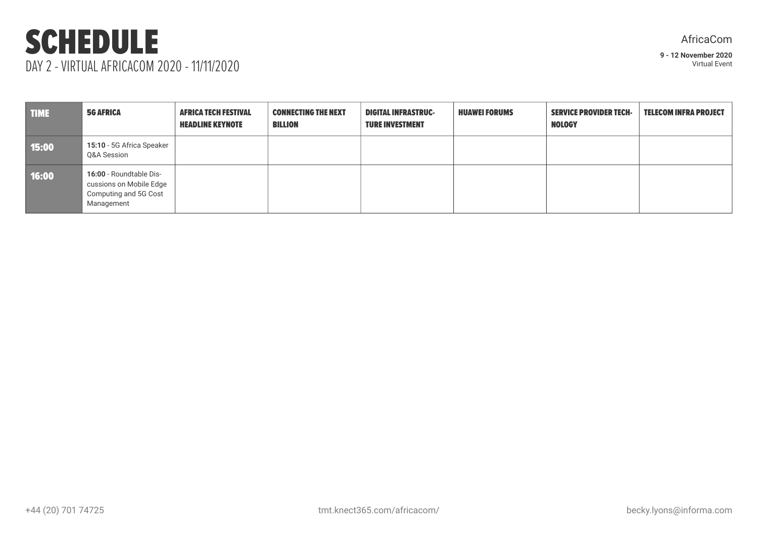# SCHEDULE DAY 2 - VIRTUAL AFRICACOM 2020 - 11/11/2020

AfricaCom

| <b>TIME</b> | <b>5G AFRICA</b>                                                                          | <b>AFRICA TECH FESTIVAL</b><br><b>HEADLINE KEYNOTE</b> | <b>CONNECTING THE NEXT</b><br>BILLION | <b>DIGITAL INFRASTRUC-</b><br><b>TURE INVESTMENT</b> | <b>HUAWEI FORUMS</b> | <b>SERVICE PROVIDER TECH-</b><br><b>NOLOGY</b> | <b>TELECOM INFRA PROJECT</b> |
|-------------|-------------------------------------------------------------------------------------------|--------------------------------------------------------|---------------------------------------|------------------------------------------------------|----------------------|------------------------------------------------|------------------------------|
| 15:00       | 15:10 - 5G Africa Speaker<br>Q&A Session                                                  |                                                        |                                       |                                                      |                      |                                                |                              |
| 16:00       | 16:00 - Roundtable Dis-<br>cussions on Mobile Edge<br>Computing and 5G Cost<br>Management |                                                        |                                       |                                                      |                      |                                                |                              |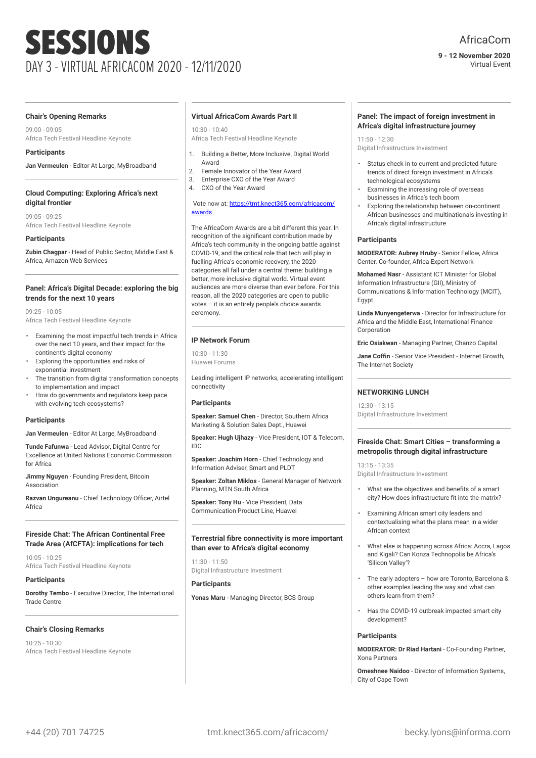#### **9 - 12 November 2020** Virtual Event

#### **Chair's Opening Remarks**

09:00 - 09:05 Africa Tech Festival Headline Keynote

# **Participants**

**Jan Vermeulen** - Editor At Large, MyBroadband

# **Cloud Computing: Exploring Africa's next digital frontier**

09:05 - 09:25 Africa Tech Festival Headline Keynote

# **Participants**

**Zubin Chagpar** - Head of Public Sector, Middle East & Africa, Amazon Web Services

# **Panel: Africa's Digital Decade: exploring the big trends for the next 10 years**

09:25 - 10:05 Africa Tech Festival Headline Keynote

- Examining the most impactful tech trends in Africa over the next 10 years, and their impact for the continent's digital economy
- Exploring the opportunities and risks of exponential investment
- The transition from digital transformation concepts to implementation and impact
- How do governments and regulators keep pace with evolving tech ecosystems?

# **Participants**

**Jan Vermeulen** - Editor At Large, MyBroadband

**Tunde Fafunwa** - Lead Advisor, Digital Centre for Excellence at United Nations Economic Commission for Africa

**Jimmy Nguyen** - Founding President, Bitcoin Association

**Razvan Ungureanu** - Chief Technology Officer, Airtel Africa

# **Fireside Chat: The African Continental Free Trade Area (AfCFTA): implications for tech**

10:05 - 10:25 Africa Tech Festival Headline Keynote

# **Participants**

**Dorothy Tembo** - Executive Director, The International Trade Centre

# **Chair's Closing Remarks**

10:25 - 10:30 Africa Tech Festival Headline Keynote

#### **Virtual AfricaCom Awards Part II**

10:30 - 10:40 Africa Tech Festival Headline Keynote

- 1. Building a Better, More Inclusive, Digital World Award
- 2. Female Innovator of the Year Award
- 3. Enterprise CXO of the Year Award
- 4. CXO of the Year Award

#### Vote now at: [https://tmt.knect365.com/africacom/](https://tmt.knect365.com/africacom/awards) [awards](https://tmt.knect365.com/africacom/awards)

The AfricaCom Awards are a bit different this year. In recognition of the significant contribution made by Africa's tech community in the ongoing battle against COVID-19, and the critical role that tech will play in fuelling Africa's economic recovery, the 2020 categories all fall under a central theme: building a better, more inclusive digital world. Virtual event audiences are more diverse than ever before. For this reason, all the 2020 categories are open to public votes – it is an entirely people's choice awards ceremony.

# **IP Network Forum**

10:30 - 11:30 Huawei Forums

Leading intelligent IP networks, accelerating intelligent connectivity

# **Participants**

**Speaker: Samuel Chen** - Director, Southern Africa Marketing & Solution Sales Dept., Huawei

**Speaker: Hugh Ujhazy** - Vice President, IOT & Telecom, IDC

**Speaker: Joachim Horn** - Chief Technology and Information Adviser, Smart and PLDT

**Speaker: Zoltan Miklos** - General Manager of Network Planning, MTN South Africa

**Speaker: Tony Hu** - Vice President, Data Communication Product Line, Huawei

# **Terrestrial fibre connectivity is more important than ever to Africa's digital economy**

11:30 - 11:50 Digital Infrastructure Investment

# **Participants**

**Yonas Maru** - Managing Director, BCS Group

#### **Panel: The impact of foreign investment in Africa's digital infrastructure journey**

 $11:50 - 12:30$ Digital Infrastructure Investment

- Status check in to current and predicted future trends of direct foreign investment in Africa's technological ecosystems
- Examining the increasing role of overseas businesses in Africa's tech boom
- Exploring the relationship between on-continent African businesses and multinationals investing in Africa's digital infrastructure

#### **Participants**

**MODERATOR: Aubrey Hruby** - Senior Fellow, Africa Center. Co-founder, Africa Expert Network

**Mohamed Nasr** - Assistant ICT Minister for Global Information Infrastructure (GII), Ministry of Communications & Information Technology (MCIT), Egypt

**Linda Munyengeterwa** - Director for Infrastructure for Africa and the Middle East, International Finance Corporation

**Eric Osiakwan** - Managing Partner, Chanzo Capital

**Jane Coffin** - Senior Vice President - Internet Growth, The Internet Society

# **NETWORKING LUNCH**

12:30 - 13:15 Digital Infrastructure Investment

# **Fireside Chat: Smart Cities – transforming a metropolis through digital infrastructure**

13:15 - 13:35 Digital Infrastructure Investment

- What are the objectives and benefits of a smart city? How does infrastructure fit into the matrix?
- Examining African smart city leaders and contextualising what the plans mean in a wider African context
- What else is happening across Africa: Accra, Lagos and Kigali? Can Konza Technopolis be Africa's 'Silicon Valley'?
- The early adopters how are Toronto, Barcelona & other examples leading the way and what can others learn from them?
- Has the COVID-19 outbreak impacted smart city development?

# **Participants**

**MODERATOR: Dr Riad Hartani** - Co-Founding Partner, Xona Partners

**Omeshnee Naidoo** - Director of Information Systems, City of Cape Town